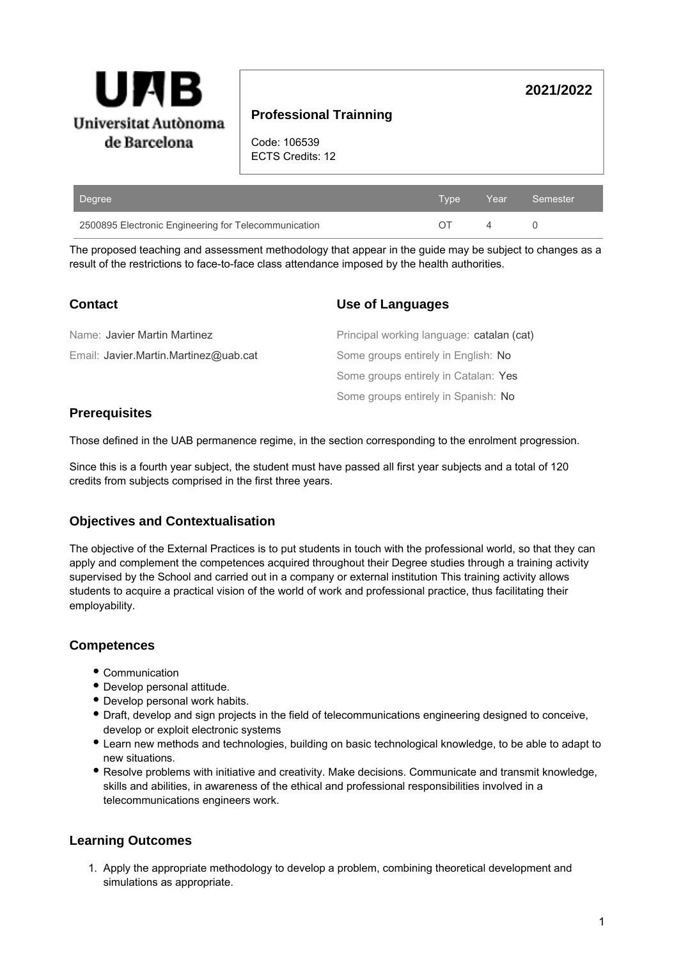

## **Professional Trainning**

Code: 106539 ECTS Credits: 12

| Degree                                               |  | Type Year Semester |
|------------------------------------------------------|--|--------------------|
| 2500895 Electronic Engineering for Telecommunication |  |                    |

The proposed teaching and assessment methodology that appear in the guide may be subject to changes as a result of the restrictions to face-to-face class attendance imposed by the health authorities.

| <b>Contact</b>                        | <b>Use of Languages</b>                   |  |  |
|---------------------------------------|-------------------------------------------|--|--|
| Name: Javier Martin Martinez          | Principal working language: catalan (cat) |  |  |
| Email: Javier.Martin.Martinez@uab.cat | Some groups entirely in English: No       |  |  |
|                                       | Some groups entirely in Catalan: Yes      |  |  |
|                                       | Some groups entirely in Spanish: No       |  |  |

## **Prerequisites**

Those defined in the UAB permanence regime, in the section corresponding to the enrolment progression.

Since this is a fourth year subject, the student must have passed all first year subjects and a total of 120 credits from subjects comprised in the first three years.

## **Objectives and Contextualisation**

The objective of the External Practices is to put students in touch with the professional world, so that they can apply and complement the competences acquired throughout their Degree studies through a training activity supervised by the School and carried out in a company or external institution This training activity allows students to acquire a practical vision of the world of work and professional practice, thus facilitating their employability.

## **Competences**

- Communication
- Develop personal attitude.
- Develop personal work habits.
- Draft, develop and sign projects in the field of telecommunications engineering designed to conceive, develop or exploit electronic systems
- Learn new methods and technologies, building on basic technological knowledge, to be able to adapt to new situations.
- Resolve problems with initiative and creativity. Make decisions. Communicate and transmit knowledge, skills and abilities, in awareness of the ethical and professional responsibilities involved in a telecommunications engineers work.

# **Learning Outcomes**

1. Apply the appropriate methodology to develop a problem, combining theoretical development and simulations as appropriate.

**2021/2022**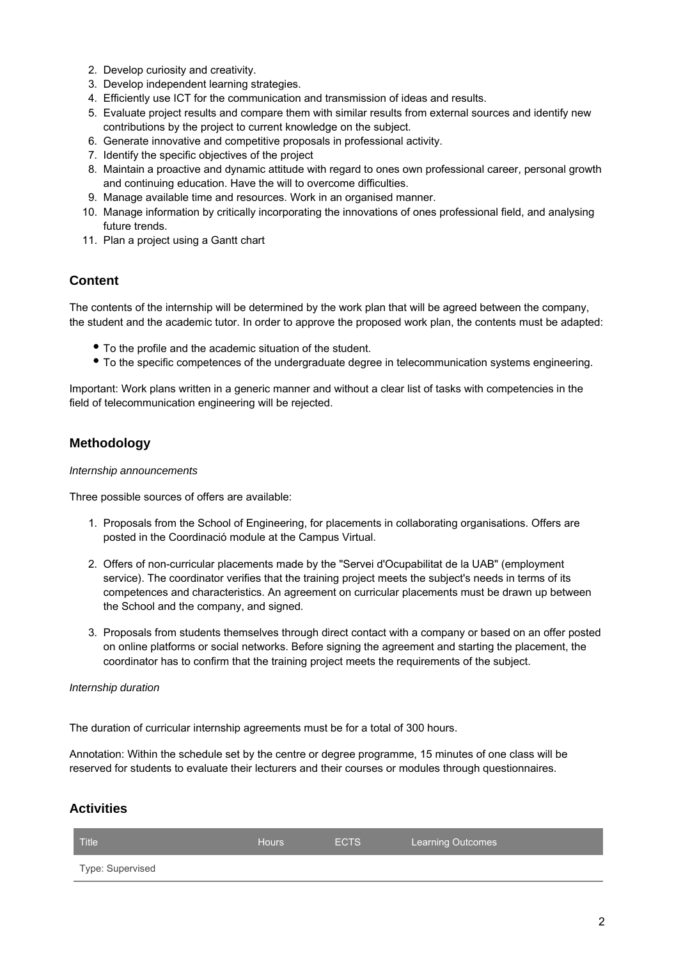- 2. Develop curiosity and creativity.
- 3. Develop independent learning strategies.
- 4. Efficiently use ICT for the communication and transmission of ideas and results.
- 5. Evaluate project results and compare them with similar results from external sources and identify new contributions by the project to current knowledge on the subject.
- 6. Generate innovative and competitive proposals in professional activity.
- 7. Identify the specific objectives of the project
- 8. Maintain a proactive and dynamic attitude with regard to ones own professional career, personal growth and continuing education. Have the will to overcome difficulties.
- 9. Manage available time and resources. Work in an organised manner.
- 10. Manage information by critically incorporating the innovations of ones professional field, and analysing future trends.
- 11. Plan a project using a Gantt chart

## **Content**

The contents of the internship will be determined by the work plan that will be agreed between the company, the student and the academic tutor. In order to approve the proposed work plan, the contents must be adapted:

- To the profile and the academic situation of the student.
- To the specific competences of the undergraduate degree in telecommunication systems engineering.

Important: Work plans written in a generic manner and without a clear list of tasks with competencies in the field of telecommunication engineering will be rejected.

## **Methodology**

#### Internship announcements

Three possible sources of offers are available:

- 1. Proposals from the School of Engineering, for placements in collaborating organisations. Offers are posted in the Coordinació module at the Campus Virtual.
- 2. Offers of non-curricular placements made by the "Servei d'Ocupabilitat de la UAB" (employment service). The coordinator verifies that the training project meets the subject's needs in terms of its competences and characteristics. An agreement on curricular placements must be drawn up between the School and the company, and signed.
- 3. Proposals from students themselves through direct contact with a company or based on an offer posted on online platforms or social networks. Before signing the agreement and starting the placement, the coordinator has to confirm that the training project meets the requirements of the subject.

#### Internship duration

The duration of curricular internship agreements must be for a total of 300 hours.

Annotation: Within the schedule set by the centre or degree programme, 15 minutes of one class will be reserved for students to evaluate their lecturers and their courses or modules through questionnaires.

# **Activities**

| Title            | Hours | <b>ECTS</b> | <b>Learning Outcomes</b> |
|------------------|-------|-------------|--------------------------|
| Type: Supervised |       |             |                          |